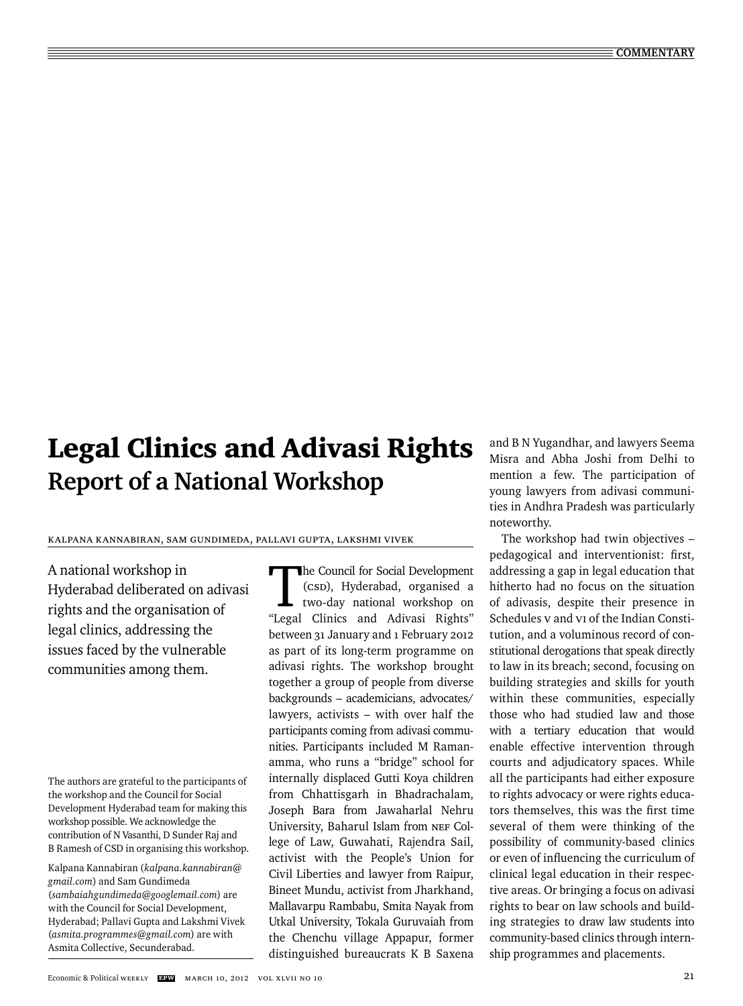# Legal Clinics and Adivasi Rights **Report of a National Workshop**

## Kalpana Kannabiran, Sam Gundimeda, Pallavi Gupta, Lakshmi Vivek

A national workshop in Hyderabad deliberated on adivasi rights and the organisation of legal clinics, addressing the issues faced by the vulnerable communities among them.

The authors are grateful to the participants of the workshop and the Council for Social Development Hyderabad team for making this workshop possible. We acknowledge the contribution of N Vasanthi, D Sunder Raj and B Ramesh of CSD in organising this workshop.

Kalpana Kannabiran (*kalpana.kannabiran@ gmail.com*) and Sam Gundimeda (*sambaiahgundimeda@googlemail.com*) are with the Council for Social Development, Hyderabad; Pallavi Gupta and Lakshmi Vivek (*asmita.programmes@gmail.com*) are with Asmita Collective, Secunderabad.

The Council for Social Development (CSD), Hyderabad, organised a two-day national workshop on "Legal Clinics and Adivasi Rights" bet ween 31 January and 1 February 2012 as part of its long-term programme on adivasi rights. The workshop brought together a group of people from diverse backgrounds – academicians, advocates/ lawyers, activists  $-$  with over half the participants coming from adivasi communities. Participants included M Ramanamma, who runs a "bridge" school for internally displaced Gutti Koya children from Chhattisgarh in Bhadrachalam, Joseph Bara from Jawaharlal Nehru University, Baharul Islam from NEF College of Law, Guwahati, Rajendra Sail, activist with the People's Union for Civil Liberties and lawyer from Raipur, Bineet Mundu, activist from Jharkhand, Mallavarpu Rambabu, Smita Nayak from Utkal University, Tokala Guruvaiah from the Chenchu village Appapur, former distinguished bureaucrats K B Saxena

and B N Yugandhar, and lawyers Seema Misra and Abha Joshi from Delhi to mention a few. The participation of young lawyers from adivasi communities in Andhra Pradesh was particularly noteworthy.

The workshop had twin objectives – pedagogical and interventionist: first, addressing a gap in legal education that hitherto had no focus on the situation of adivasis, despite their presence in Schedules V and VI of the Indian Constitution, and a voluminous record of constitutional derogations that speak directly to law in its breach; second, focusing on building strategies and skills for youth within these communities, especially those who had studied law and those with a tertiary education that would enable effective intervention through courts and adjudicatory spaces. While all the participants had either exposure to rights advocacy or were rights educators themselves, this was the first time several of them were thinking of the possibility of community-based clinics or even of influencing the curriculum of clinical legal education in their respective areas. Or bringing a focus on adivasi rights to bear on law schools and building strategies to draw law students into community-based clinics through internship programmes and placements.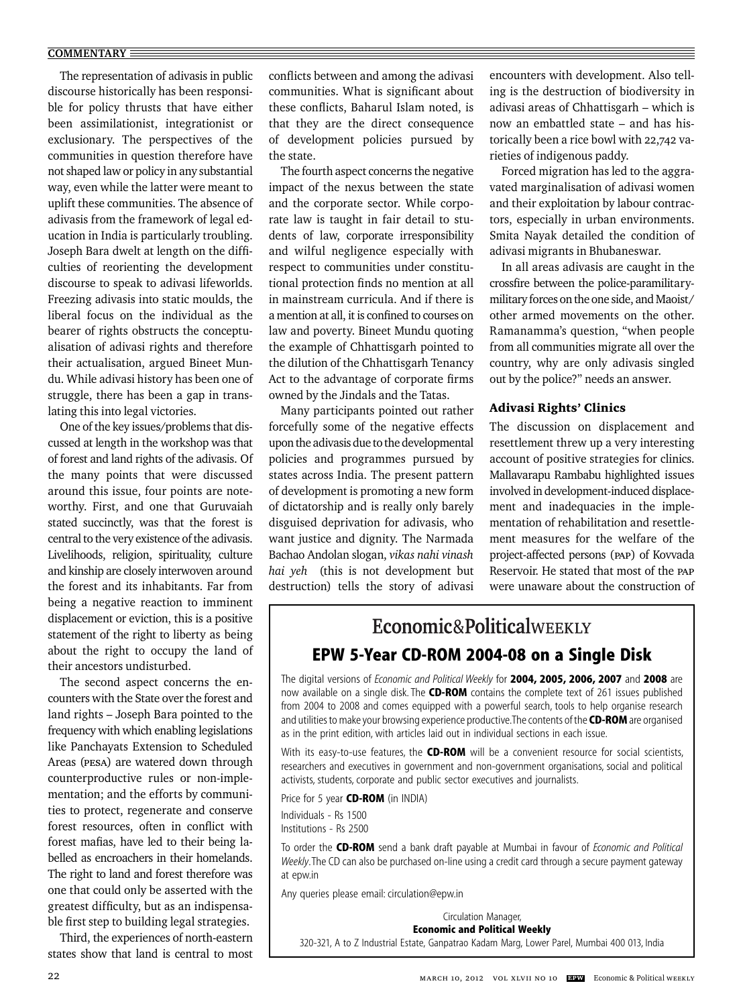The representation of adivasis in public discourse historically has been responsible for policy thrusts that have either been assimilationist, integrationist or exclusionary. The perspectives of the communities in question therefore have not shaped law or policy in any substantial way, even while the latter were meant to uplift these communities. The absence of adivasis from the framework of legal education in India is particularly troubling. Joseph Bara dwelt at length on the difficulties of reorienting the development discourse to speak to adivasi lifeworlds. Freezing adivasis into static moulds, the liberal focus on the individual as the bearer of rights obstructs the conceptualisation of adivasi rights and therefore their actualisation, argued Bineet Mundu. While adivasi history has been one of struggle, there has been a gap in translating this into legal victories.

One of the key issues/problems that discussed at length in the workshop was that of forest and land rights of the adivasis. Of the many points that were discussed around this issue, four points are noteworthy. First, and one that Guruvaiah stated succinctly, was that the forest is central to the very existence of the adivasis. Livelihoods, religion, spirituality, culture and kinship are closely interwoven around the forest and its inhabitants. Far from being a negative reaction to imminent displacement or eviction, this is a positive statement of the right to liberty as being about the right to occupy the land of their ancestors undisturbed.

The second aspect concerns the encounters with the State over the forest and land rights – Joseph Bara pointed to the frequency with which enabling legislations like Panchayats Extension to Scheduled Areas (PESA) are watered down through counterproductive rules or non-implementation; and the efforts by communities to protect, regenerate and conserve forest resources, often in conflict with forest mafias, have led to their being labelled as encroachers in their homelands. The right to land and forest therefore was one that could only be asserted with the greatest difficulty, but as an indispensable first step to building legal strategies.

Third, the experiences of north-eastern states show that land is central to most

The fourth aspect concerns the negative impact of the nexus between the state and the corporate sector. While corporate law is taught in fair detail to students of law, corporate irresponsibility and wilful negligence especially with respect to communities under constitutional protection finds no mention at all in mainstream curricula. And if there is a mention at all, it is confined to courses on law and poverty. Bineet Mundu quoting the example of Chhattisgarh pointed to the dilution of the Chhattisgarh Tenancy Act to the advantage of corporate firms owned by the Jindals and the Tatas.

Many participants pointed out rather forcefully some of the negative effects upon the adivasis due to the developmental policies and programmes pursued by states across India. The present pattern of development is promoting a new form of dictatorship and is really only barely disguised deprivation for adivasis, who want justice and dignity. The Narmada Bachao Andolan slogan, *vikas nahi vinash hai yeh* (this is not development but destruction) tells the story of adivasi encounters with development. Also telling is the destruction of biodiversity in adivasi areas of Chhattisgarh – which is now an embattled state – and has historically been a rice bowl with 22,742 varieties of indigenous paddy.

Forced migration has led to the aggravated marginalisation of adivasi women and their exploitation by labour contractors, especially in urban environments. Smita Nayak detailed the condition of adivasi migrants in Bhubaneswar.

In all areas adivasis are caught in the crossfire between the police-paramilitarymilitary forces on the one side, and Maoist/ other armed movements on the other. Ramanamma's question, "when people from all communities migrate all over the country, why are only adivasis singled out by the police?" needs an answer.

### Adivasi Rights' Clinics

The discussion on displacement and resettlement threw up a very interesting account of positive strategies for clinics. Mallavarapu Rambabu highlighted issues involved in development-induced displacement and inadequacies in the implementation of rehabilitation and resettlement measures for the welfare of the project-affected persons (PAP) of Kovvada Reservoir. He stated that most of the PAP were unaware about the construction of

# Economic&PoliticalWEEKLY **EPW 5-Year CD-ROM 2004-08 on a Single Disk**

The digital versions of *Economic and Political Weekly* for **2004, 2005, 2006, 2007** and **2008** are now available on a single disk. The **CD-ROM** contains the complete text of 261 issues published from 2004 to 2008 and comes equipped with a powerful search, tools to help organise research and utilities to make your browsing experience productive. The contents of the **CD-ROM** are organised as in the print edition, with articles laid out in individual sections in each issue.

With its easy-to-use features, the **CD-ROM** will be a convenient resource for social scientists, researchers and executives in government and non-government organisations, social and political activists, students, corporate and public sector executives and journalists.

Price for 5 year **CD-ROM** (in INDIA)

Individuals - Rs 1500 Institutions - Rs 2500

To order the **CD-ROM** send a bank draft payable at Mumbai in favour of *Economic and Political Weekly*. The CD can also be purchased on-line using a credit card through a secure payment gateway at epw.in

Any queries please email: circulation@epw.in

Circulation Manager, **Economic and Political Weekly** 320-321, A to Z Industrial Estate, Ganpatrao Kadam Marg, Lower Parel, Mumbai 400 013, India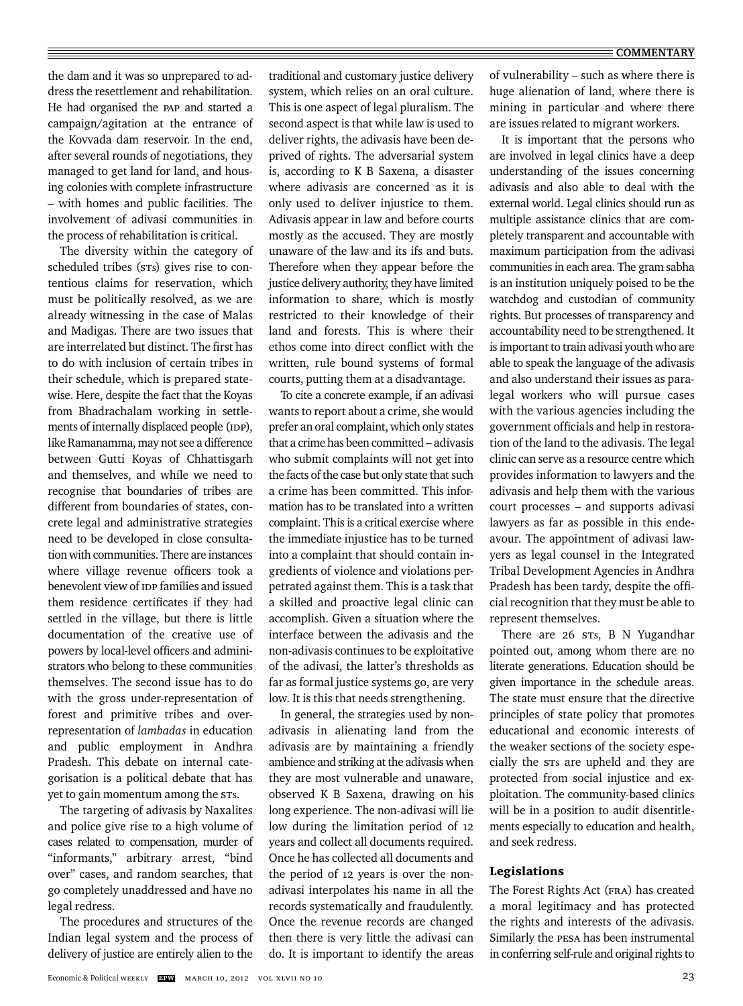the dam and it was so unprepared to address the resettlement and rehabilitation. He had organised the PAP and started a campaign/agitation at the entrance of the Kovvada dam reservoir. In the end, after several rounds of negotiations, they managed to get land for land, and housing colonies with complete infrastructure – with homes and public facilities. The involvement of adivasi communities in the process of rehabilitation is critical.

The diversity within the category of scheduled tribes (STs) gives rise to contentious claims for reservation, which must be politically resolved, as we are already witnessing in the case of Malas and Madigas. There are two issues that are interrelated but distinct. The first has to do with inclusion of certain tribes in their schedule, which is prepared statewise. Here, despite the fact that the Koyas from Bhadrachalam working in settlements of internally displaced people (IDP), like Ramanamma, may not see a difference between Gutti Koyas of Chhattisgarh and themselves, and while we need to recognise that boundaries of tribes are different from boundaries of states, concrete legal and administrative strategies need to be developed in close consultation with communities. There are instances where village revenue officers took a benevolent view of IDP families and issued them residence certificates if they had settled in the village, but there is little documentation of the creative use of powers by local-level officers and administrators who belong to these communities themselves. The second issue has to do with the gross under-representation of forest and primitive tribes and overrepresentation of *lambadas* in education and public employment in Andhra Pradesh. This debate on internal categorisation is a political debate that has yet to gain momentum among the STs.

The targeting of adivasis by Naxalites and police give rise to a high volume of cases related to compensation, murder of "informants," arbitrary arrest, "bind over" cases, and random searches, that go completely unaddressed and have no legal redress.

The procedures and structures of the Indian legal system and the process of delivery of justice are entirely alien to the

traditional and customary justice delivery system, which relies on an oral culture. This is one aspect of legal pluralism. The second aspect is that while law is used to deliver rights, the adivasis have been deprived of rights. The adversarial system is, according to K B Saxena, a disaster where adivasis are concerned as it is only used to deliver injustice to them. Adivasis appear in law and before courts mostly as the accused. They are mostly unaware of the law and its ifs and buts. Therefore when they appear before the justice delivery authority, they have limited information to share, which is mostly restricted to their knowledge of their land and forests. This is where their ethos come into direct conflict with the written, rule bound systems of formal courts, putting them at a disadvantage.

To cite a concrete example, if an adivasi wants to report about a crime, she would prefer an oral complaint, which only states that a crime has been committed – adivasis who submit complaints will not get into the facts of the case but only state that such a crime has been committed. This information has to be translated into a written complaint. This is a critical exercise where the immediate injustice has to be turned into a complaint that should contain ingredients of violence and violations perpetrated against them. This is a task that a skilled and proactive legal clinic can accomplish. Given a situation where the interface between the adivasis and the non-adivasis continues to be exploitative of the adivasi, the latter's thresholds as far as formal justice systems go, are very low. It is this that needs strengthening.

In general, the strategies used by nonadivasis in alienating land from the adivasis are by maintaining a friendly ambience and striking at the adivasis when they are most vulnerable and unaware, observed K B Saxena, drawing on his long experience. The non-adivasi will lie low during the limitation period of 12 years and collect all documents required. Once he has collected all documents and the period of 12 years is over the nonadivasi interpolates his name in all the records systematically and fraudulently. Once the revenue records are changed then there is very little the adivasi can do. It is important to identify the areas of vulnerability – such as where there is huge alienation of land, where there is mining in particular and where there are issues related to migrant workers.

It is important that the persons who are involved in legal clinics have a deep understanding of the issues concerning adivasis and also able to deal with the external world. Legal clinics should run as multiple assistance clinics that are completely transparent and accountable with maximum participation from the adivasi communities in each area. The gram sabha is an institution uniquely poised to be the watchdog and custodian of community rights. But processes of transparency and accountability need to be strengthened. It is important to train adivasi youth who are able to speak the language of the adivasis and also understand their issues as paralegal workers who will pursue cases with the various agencies including the government officials and help in restoration of the land to the adivasis. The legal clinic can serve as a resource centre which provides information to lawyers and the adivasis and help them with the various court processes – and supports adivasi lawyers as far as possible in this endeavour. The appointment of adivasi lawyers as legal counsel in the Integrated Tribal Development Agencies in Andhra Pradesh has been tardy, despite the official recognition that they must be able to represent themselves.

There are 26 sts, B N Yugandhar pointed out, among whom there are no literate generations. Education should be given importance in the schedule areas. The state must ensure that the directive principles of state policy that promotes educational and economic interests of the weaker sections of the society especially the STs are upheld and they are protected from social injustice and exploitation. The community-based clinics will be in a position to audit disentitlements especially to education and health, and seek redress.

### Legislations

The Forest Rights Act (FRA) has created a moral legitimacy and has protected the rights and interests of the adivasis. Similarly the PESA has been instrumental in conferring self-rule and original rights to